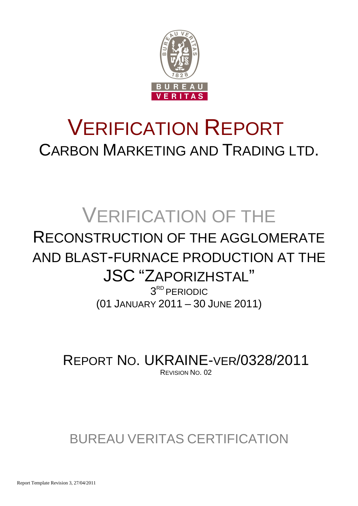

# VERIFICATION REPORT CARBON MARKETING AND TRADING LTD.

# VERIFICATION OF THE

## RECONSTRUCTION OF THE AGGLOMERATE AND BLAST-FURNACE PRODUCTION AT THE JSC "ZAPORIZHSTAL"

3 RD PERIODIC (01 JANUARY 2011 – 30 JUNE 2011)

REPORT NO. UKRAINE-VER/0328/2011 REVISION NO. 02

## BUREAU VERITAS CERTIFICATION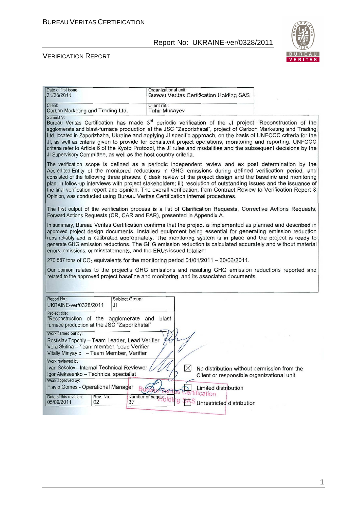

| Date of first issue:<br>31/08/2011                                                                                                                              |                 | Organizational unit:                                                                   |              | <b>Bureau Veritas Certification Holding SAS</b> |                                                                                                                                                                                                                                                                                                                                                                                                                                                                                                                                                                                              |
|-----------------------------------------------------------------------------------------------------------------------------------------------------------------|-----------------|----------------------------------------------------------------------------------------|--------------|-------------------------------------------------|----------------------------------------------------------------------------------------------------------------------------------------------------------------------------------------------------------------------------------------------------------------------------------------------------------------------------------------------------------------------------------------------------------------------------------------------------------------------------------------------------------------------------------------------------------------------------------------------|
| Client:<br>Carbon Marketing and Trading Ltd.                                                                                                                    |                 | Client ref.:<br><b>Tahir Musayev</b>                                                   |              |                                                 |                                                                                                                                                                                                                                                                                                                                                                                                                                                                                                                                                                                              |
| Summary:                                                                                                                                                        |                 | JI Supervisory Committee, as well as the host country criteria.                        |              |                                                 | Bureau Veritas Certification has made 3 <sup>rd</sup> periodic verification of the JI project "Reconstruction of the<br>agglomerate and blast-furnace production at the JSC "Zaporizhstal", project of Carbon Marketing and Trading<br>Ltd. located in Zaporizhzha, Ukraine and applying JI specific approach, on the basis of UNFCCC criteria for the<br>JI, as well as criteria given to provide for consistent project operations, monitoring and reporting. UNFCCC<br>criteria refer to Article 6 of the Kyoto Protocol, the JI rules and modalities and the subsequent decisions by the |
|                                                                                                                                                                 |                 | Opinion, was conducted using Bureau Veritas Certification internal procedures.         |              |                                                 | The verification scope is defined as a periodic independent review and ex post determination by the<br>Accredited Entity of the monitored reductions in GHG emissions during defined verification period, and<br>consisted of the following three phases: i) desk review of the project design and the baseline and monitoring<br>plan; ii) follow-up interviews with project stakeholders; iii) resolution of outstanding issues and the issuance of<br>the final verification report and opinion. The overall verification, from Contract Review to Verification Report &                  |
|                                                                                                                                                                 |                 | Forward Actions Requests (CR, CAR and FAR), presented in Appendix A.                   |              |                                                 | The first output of the verification process is a list of Clarification Requests, Corrective Actions Requests,                                                                                                                                                                                                                                                                                                                                                                                                                                                                               |
|                                                                                                                                                                 |                 | errors, omissions, or misstatements, and the ERUs issued totalize:                     |              |                                                 | In summary, Bureau Veritas Certification confirms that the project is implemented as planned and described in<br>approved project design documents. Installed equipment being essential for generating emission reduction<br>runs reliably and is calibrated appropriately. The monitoring system is in place and the project is ready to<br>generate GHG emission reductions. The GHG emission reduction is calculated accurately and without material                                                                                                                                      |
|                                                                                                                                                                 |                 | 270 587 tons of $CO2$ equivalents for the monitoring period 01/01/2011 - 30/06/2011.   |              |                                                 |                                                                                                                                                                                                                                                                                                                                                                                                                                                                                                                                                                                              |
|                                                                                                                                                                 |                 | related to the approved project baseline and monitoring, and its associated documents. |              |                                                 | Our opinion relates to the project's GHG emissions and resulting GHG emission reductions reported and                                                                                                                                                                                                                                                                                                                                                                                                                                                                                        |
| Report No.:<br>UKRAINE-ver/0328/2011                                                                                                                            | JI              | Subject Group:                                                                         |              |                                                 |                                                                                                                                                                                                                                                                                                                                                                                                                                                                                                                                                                                              |
| Project title:<br>furnace production at the JSC "Zaporizhstal"                                                                                                  |                 | "Reconstruction of the agglomerate and blast-                                          |              |                                                 |                                                                                                                                                                                                                                                                                                                                                                                                                                                                                                                                                                                              |
| Work carried out by:<br>Rostislav Topchiy - Team Leader, Lead Verifier<br>Vera Skitina - Team member, Lead Verifier<br>Vitaliy Minyaylo - Team Member, Verifier |                 |                                                                                        |              |                                                 |                                                                                                                                                                                                                                                                                                                                                                                                                                                                                                                                                                                              |
| Work reviewed by:<br>Ivan Sokolov - Internal Technical Reviewer<br>Igor Alekseenko - Technical specialist                                                       |                 |                                                                                        | $\bowtie$    | Client or responsible organizational unit       | No distribution without permission from the                                                                                                                                                                                                                                                                                                                                                                                                                                                                                                                                                  |
| Work approved by:<br>Flavio Gomes - Operational Manager                                                                                                         |                 |                                                                                        |              | Limited distribution                            |                                                                                                                                                                                                                                                                                                                                                                                                                                                                                                                                                                                              |
| Date of this revision:<br>05/09/2011                                                                                                                            | Rev. No.:<br>02 | Number of pages <sub>pld</sub><br>37                                                   | ertification | Unrestricted distribution                       |                                                                                                                                                                                                                                                                                                                                                                                                                                                                                                                                                                                              |
|                                                                                                                                                                 |                 |                                                                                        |              |                                                 |                                                                                                                                                                                                                                                                                                                                                                                                                                                                                                                                                                                              |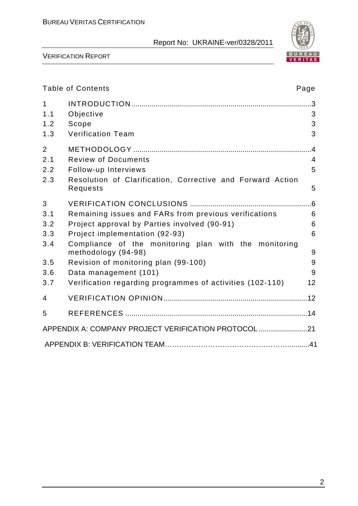

|                     | <b>Table of Contents</b>                                                     | Page |
|---------------------|------------------------------------------------------------------------------|------|
| $\mathbf{1}$<br>1.1 | Objective                                                                    | 3    |
| 1.2                 | Scope                                                                        | 3    |
| 1.3                 | <b>Verification Team</b>                                                     | 3    |
| $\overline{2}$      |                                                                              |      |
| 2.1                 | <b>Review of Documents</b>                                                   | 4    |
| 2.2                 | Follow-up Interviews                                                         | 5    |
| 2.3                 | Resolution of Clarification, Corrective and Forward Action<br>Requests       | 5    |
| 3                   |                                                                              |      |
| 3.1                 | Remaining issues and FARs from previous verifications                        | 6    |
| 3.2                 | Project approval by Parties involved (90-91)                                 | 6    |
| 3.3                 | Project implementation (92-93)                                               | 6    |
| 3.4                 | Compliance of the monitoring plan with the monitoring<br>methodology (94-98) | 9    |
| 3.5                 | Revision of monitoring plan (99-100)                                         | 9    |
| 3.6                 | Data management (101)                                                        | 9    |
| 3.7                 | Verification regarding programmes of activities (102-110)                    | 12   |
| 4                   |                                                                              |      |
| 5                   |                                                                              |      |
|                     | APPENDIX A: COMPANY PROJECT VERIFICATION PROTOCOL 21                         |      |
|                     |                                                                              |      |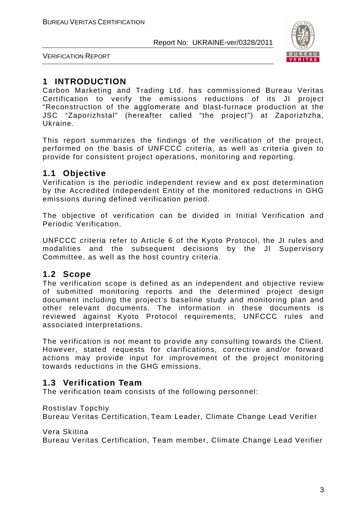

VERIFICATION REPORT

## **1 INTRODUCTION**

Carbon Marketing and Trading Ltd. has commissioned Bureau Veritas Certification to verify the emissions reductions of its JI project "Reconstruction of the agglomerate and blast-furnace production at the JSC "Zaporizhstal" (hereafter called "the project") at Zaporizhzha, Ukraine.

This report summarizes the findings of the verification of the project, performed on the basis of UNFCCC criteria, as well as criteria given to provide for consistent project operations, monitoring and reporting.

## **1.1 Objective**

Verification is the periodic independent review and ex post determination by the Accredited Independent Entity of the monitored reductions in GHG emissions during defined verification period.

The objective of verification can be divided in Initial Verification and Periodic Verification.

UNFCCC criteria refer to Article 6 of the Kyoto Protocol, the JI rules and modalities and the subsequent decisions by the JI Supervisory Committee, as well as the host country criteria.

## **1.2 Scope**

The verification scope is defined as an independent and objective review of submitted monitoring reports and the determined project design document including the project's baseline study and monitoring plan and other relevant documents. The information in these documents is reviewed against Kyoto Protocol requirements, UNFCCC rules and associated interpretations.

The verification is not meant to provide any consulting towards the Client. However, stated requests for clarifications, corrective and/or forward actions may provide input for improvement of the project monitoring towards reductions in the GHG emissions.

## **1.3 Verification Team**

The verification team consists of the following personnel:

Rostislav Topchiy

Bureau Veritas Certification, Team Leader, Climate Change Lead Verifier

Vera Skitina

Bureau Veritas Certification, Team member, Climate Change Lead Verifier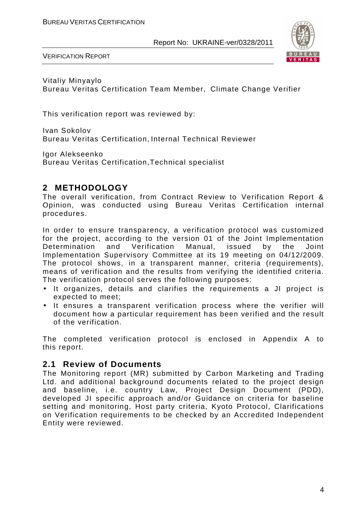

VERIFICATION REPORT

Vitaliy Minyaylo Bureau Veritas Certification Team Member, Climate Change Verifier

This verification report was reviewed by:

Ivan Sokolov Bureau Veritas Certification, Internal Technical Reviewer

Igor Alekseenko Bureau Veritas Certification,Technical specialist

## **2 METHODOLOGY**

The overall verification, from Contract Review to Verification Report & Opinion, was conducted using Bureau Veritas Certification internal procedures.

In order to ensure transparency, a verification protocol was customized for the project, according to the version 01 of the Joint Implementation Determination and Verification Manual, issued by the Joint Implementation Supervisory Committee at its 19 meeting on 04/12/2009. The protocol shows, in a transparent manner, criteria (requirements), means of verification and the results from verifying the identified criteria. The verification protocol serves the following purposes:

- It organizes, details and clarifies the requirements a JI project is expected to meet;
- It ensures a transparent verification process where the verifier will document how a particular requirement has been verified and the result of the verification.

The completed verification protocol is enclosed in Appendix A to this report.

## **2.1 Review of Documents**

The Monitoring report (MR) submitted by Carbon Marketing and Trading Ltd. and additional background documents related to the project design and baseline, i.e. country Law, Project Design Document (PDD), developed JI specific approach and/or Guidance on criteria for baseline setting and monitoring, Host party criteria, Kyoto Protocol, Clarifications on Verification requirements to be checked by an Accredited Independent Entity were reviewed.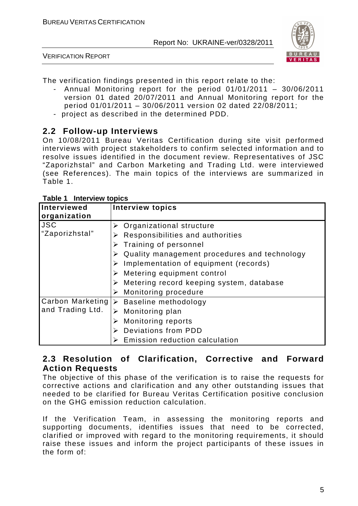

VERIFICATION REPORT

The verification findings presented in this report relate to the:

- Annual Monitoring report for the period 01/01/2011 30/06/2011 version 01 dated 20/07/2011 and Annual Monitoring report for the period 01/01/2011 – 30/06/2011 version 02 dated 22/08/2011;
- project as described in the determined PDD.

## **2.2 Follow-up Interviews**

On 10/08/2011 Bureau Veritas Certification during site visit performed interviews with project stakeholders to confirm selected information and to resolve issues identified in the document review. Representatives of JSC "Zaporizhstal" and Carbon Marketing and Trading Ltd. were interviewed (see References). The main topics of the interviews are summarized in Table 1.

| Interviewed<br>organization  | <b>Interview topics</b>                                                                                                                                                                                                                                                        |
|------------------------------|--------------------------------------------------------------------------------------------------------------------------------------------------------------------------------------------------------------------------------------------------------------------------------|
| <b>JSC</b><br>"Zaporizhstal" | Organizational structure<br>Responsibilities and authorities<br>Training of personnel<br>Quality management procedures and technology<br>Implementation of equipment (records)<br>➤<br>Metering equipment control<br>$\triangleright$ Metering record keeping system, database |
| and Trading Ltd.             | Monitoring procedure<br>Carbon Marketing  > Baseline methodology<br>Monitoring plan<br><b>Monitoring reports</b><br><b>Deviations from PDD</b><br>Emission reduction calculation                                                                                               |

#### **Table 1 Interview topics**

## **2.3 Resolution of Clarification, Corrective and Forward Action Requests**

The objective of this phase of the verification is to raise the requests for corrective actions and clarification and any other outstanding issues that needed to be clarified for Bureau Veritas Certification positive conclusion on the GHG emission reduction calculation.

If the Verification Team, in assessing the monitoring reports and supporting documents, identifies issues that need to be corrected, clarified or improved with regard to the monitoring requirements, it should raise these issues and inform the project participants of these issues in the form of: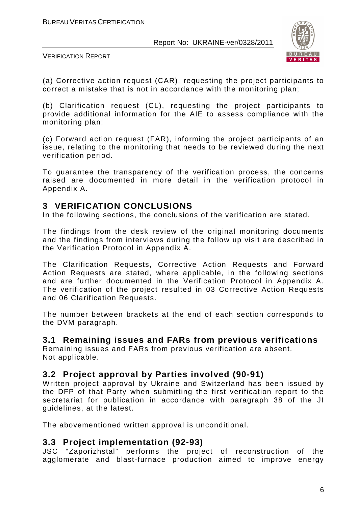

VERIFICATION REPORT

(a) Corrective action request (CAR), requesting the project participants to correct a mistake that is not in accordance with the monitoring plan;

(b) Clarification request (CL), requesting the project participants to provide additional information for the AIE to assess compliance with the monitoring plan;

(c) Forward action request (FAR), informing the project participants of an issue, relating to the monitoring that needs to be reviewed during the next verification period.

To guarantee the transparency of the verification process, the concerns raised are documented in more detail in the verification protocol in Appendix A.

## **3 VERIFICATION CONCLUSIONS**

In the following sections, the conclusions of the verification are stated.

The findings from the desk review of the original monitoring documents and the findings from interviews during the follow up visit are described in the Verification Protocol in Appendix A.

The Clarification Requests, Corrective Action Requests and Forward Action Requests are stated, where applicable, in the following sections and are further documented in the Verification Protocol in Appendix A. The verification of the project resulted in 03 Corrective Action Requests and 06 Clarification Requests.

The number between brackets at the end of each section corresponds to the DVM paragraph.

## **3.1 Remaining issues and FARs from previous verifications**

Remaining issues and FARs from previous verification are absent. Not applicable.

## **3.2 Project approval by Parties involved (90-91)**

Written project approval by Ukraine and Switzerland has been issued by the DFP of that Party when submitting the first verification report to the secretariat for publication in accordance with paragraph 38 of the JI guidelines, at the latest.

The abovementioned written approval is unconditional.

## **3.3 Project implementation (92-93)**

JSC "Zaporizhstal" performs the project of reconstruction of the agglomerate and blast-furnace production aimed to improve energy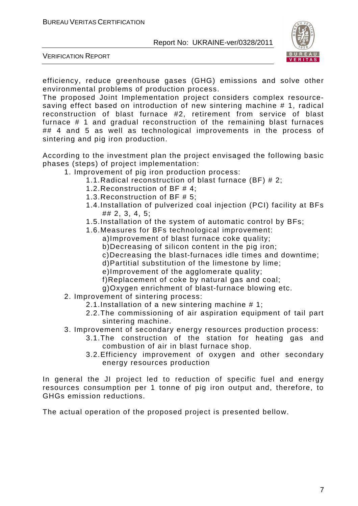

VERIFICATION REPORT

efficiency, reduce greenhouse gases (GHG) emissions and solve other environmental problems of production process.

The proposed Joint Implementation project considers complex resourcesaving effect based on introduction of new sintering machine # 1, radical reconstruction of blast furnace #2, retirement from service of blast furnace # 1 and gradual reconstruction of the remaining blast furnaces ## 4 and 5 as well as technological improvements in the process of sintering and pig iron production.

According to the investment plan the project envisaged the following basic phases (steps) of project implementation:

- 1. Improvement of pig iron production process:
	- 1.1.Radical reconstruction of blast furnace (BF) # 2;
	- 1.2.Reconstruction of BF # 4;
	- 1.3.Reconstruction of BF # 5;
	- 1.4.Installation of pulverized coal injection (PCI) facility at BFs ## 2, 3, 4, 5;
	- 1.5.Installation of the system of automatic control by BFs;
	- 1.6.Measures for BFs technological improvement:
		- a)Improvement of blast furnace coke quality;
		- b)Decreasing of silicon content in the pig iron;
		- c)Decreasing the blast-furnaces idle times and downtime;
		- d)Partitial substitution of the limestone by lime;
		- e)Improvement of the agglomerate quality;
		- f)Replacement of coke by natural gas and coal;
		- g)Oxygen enrichment of blast-furnace blowing etc.
- 2. Improvement of sintering process:
	- 2.1.Installation of a new sintering machine # 1;
	- 2.2.The commissioning of air aspiration equipment of tail part sintering machine.
- 3. Improvement of secondary energy resources production process:
	- 3.1.The construction of the station for heating gas and combustion of air in blast furnace shop.
	- 3.2.Efficiency improvement of oxygen and other secondary energy resources production

In general the JI project led to reduction of specific fuel and energy resources consumption per 1 tonne of pig iron output and, therefore, to GHGs emission reductions.

The actual operation of the proposed project is presented bellow.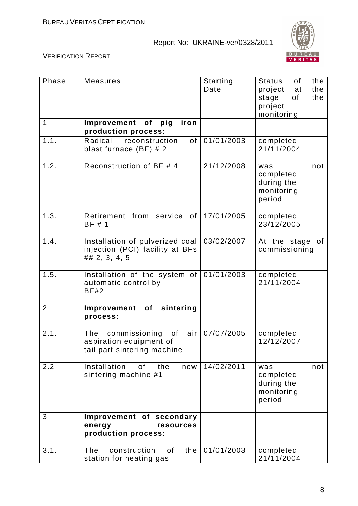

| Phase          | <b>Measures</b>                                                                             | Starting<br>Date | of<br>the<br>Status<br>the<br>project<br>at<br>the<br>stage<br>of<br>project<br>monitoring |
|----------------|---------------------------------------------------------------------------------------------|------------------|--------------------------------------------------------------------------------------------|
| 1              | Improvement of<br>pig<br>iron<br>production process:                                        |                  |                                                                                            |
| 1.1.           | Radical<br>of<br>reconstruction<br>blast furnace $(BF)$ # 2                                 | 01/01/2003       | completed<br>21/11/2004                                                                    |
| 1.2.           | Reconstruction of BF # 4                                                                    | 21/12/2008       | not<br>was<br>completed<br>during the<br>monitoring<br>period                              |
| 1.3.           | Retirement from<br>service<br>of<br>BF # 1                                                  | 17/01/2005       | completed<br>23/12/2005                                                                    |
| 1.4.           | Installation of pulverized coal<br>injection (PCI) facility at BFs<br>## 2, 3, 4, 5         | 03/02/2007       | At the stage<br>of<br>commissioning                                                        |
| 1.5.           | Installation of the system of<br>automatic control by<br><b>BF#2</b>                        | 01/01/2003       | completed<br>21/11/2004                                                                    |
| $\overline{2}$ | Improvement of sintering<br>process:                                                        |                  |                                                                                            |
| 2.1.           | commissioning<br>The<br>of<br>air<br>aspiration equipment of<br>tail part sintering machine | 07/07/2005       | completed<br>12/12/2007                                                                    |
| 2.2            | Installation<br>of<br>the<br>new<br>sintering machine #1                                    | 14/02/2011       | not<br>was<br>completed<br>during the<br>monitoring<br>period                              |
| 3              | Improvement of secondary<br>resources<br>energy<br>production process:                      |                  |                                                                                            |
| 3.1.           | The<br>construction<br>0f<br>the<br>station for heating gas                                 | 01/01/2003       | completed<br>21/11/2004                                                                    |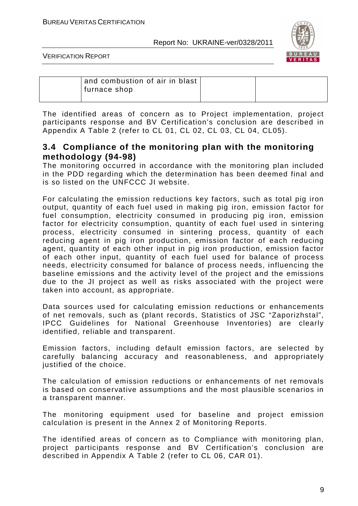

VERIFICATION REPORT

| and combustion of air in blast<br>furnace shop |  |
|------------------------------------------------|--|
|                                                |  |

The identified areas of concern as to Project implementation, project participants response and BV Certification's conclusion are described in Appendix A Table 2 (refer to CL 01, CL 02, CL 03, CL 04, CL05).

## **3.4 Compliance of the monitoring plan with the monitoring methodology (94-98)**

The monitoring occurred in accordance with the monitoring plan included in the PDD regarding which the determination has been deemed final and is so listed on the UNFCCC JI website.

For calculating the emission reductions key factors, such as total pig iron output, quantity of each fuel used in making pig iron, emission factor for fuel consumption, electricity consumed in producing pig iron, emission factor for electricity consumption, quantity of each fuel used in sintering process, electricity consumed in sintering process, quantity of each reducing agent in pig iron production, emission factor of each reducing agent, quantity of each other input in pig iron production, emission factor of each other input, quantity of each fuel used for balance of process needs, electricity consumed for balance of process needs, influencing the baseline emissions and the activity level of the project and the emissions due to the JI project as well as risks associated with the project were taken into account, as appropriate.

Data sources used for calculating emission reductions or enhancements of net removals, such as (plant records, Statistics of JSC "Zaporizhstal", IPCC Guidelines for National Greenhouse Inventories) are clearly identified, reliable and transparent.

Emission factors, including default emission factors, are selected by carefully balancing accuracy and reasonableness, and appropriately justified of the choice.

The calculation of emission reductions or enhancements of net removals is based on conservative assumptions and the most plausible scenarios in a transparent manner.

The monitoring equipment used for baseline and project emission calculation is present in the Annex 2 of Monitoring Reports.

The identified areas of concern as to Compliance with monitoring plan, project participants response and BV Certification's conclusion are described in Appendix A Table 2 (refer to CL 06, CAR 01).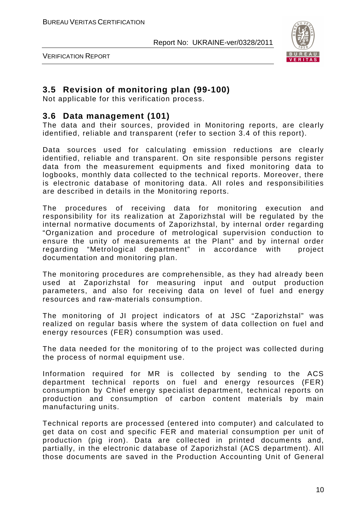

VERIFICATION REPORT

## **3.5 Revision of monitoring plan (99-100)**

Not applicable for this verification process.

## **3.6 Data management (101)**

The data and their sources, provided in Monitoring reports, are clearly identified, reliable and transparent (refer to section 3.4 of this report).

Data sources used for calculating emission reductions are clearly identified, reliable and transparent. On site responsible persons register data from the measurement equipments and fixed monitoring data to logbooks, monthly data collected to the technical reports. Moreover, there is electronic database of monitoring data. All roles and responsibilities are described in details in the Monitoring reports.

The procedures of receiving data for monitoring execution and responsibility for its realization at Zaporizhstal will be regulated by the internal normative documents of Zaporizhstal, by internal order regarding "Organization and procedure of metrological supervision conduction to ensure the unity of measurements at the Plant" and by internal order regarding "Metrological department" in accordance with project documentation and monitoring plan.

The monitoring procedures are comprehensible, as they had already been used at Zaporizhstal for measuring input and output production parameters, and also for receiving data on level of fuel and energy resources and raw-materials consumption.

The monitoring of JI project indicators of at JSC "Zaporizhstal" was realized on regular basis where the system of data collection on fuel and energy resources (FER) consumption was used.

The data needed for the monitoring of to the project was collected during the process of normal equipment use.

Information required for MR is collected by sending to the ACS department technical reports on fuel and energy resources (FER) consumption by Chief energy specialist department, technical reports on production and consumption of carbon content materials by main manufacturing units.

Technical reports are processed (entered into computer) and calculated to get data on cost and specific FER and material consumption per unit of production (pig iron). Data are collected in printed documents and, partially, in the electronic database of Zaporizhstal (ACS department). All those documents are saved in the Production Accounting Unit of General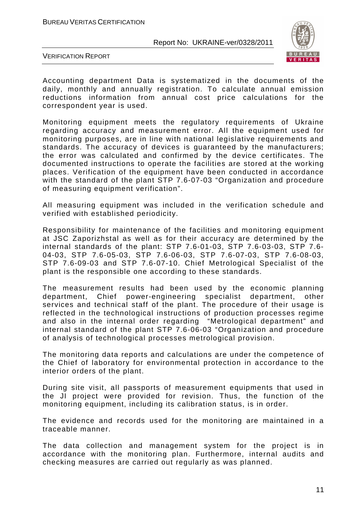

VERIFICATION REPORT

Accounting department Data is systematized in the documents of the daily, monthly and annually registration. To calculate annual emission reductions information from annual cost price calculations for the correspondent year is used.

Monitoring equipment meets the regulatory requirements of Ukraine regarding accuracy and measurement error. All the equipment used for monitoring purposes, are in line with national legislative requirements and standards. The accuracy of devices is guaranteed by the manufacturers; the error was calculated and confirmed by the device certificates. The documented instructions to operate the facilities are stored at the working places. Verification of the equipment have been conducted in accordance with the standard of the plant STP 7.6-07-03 "Organization and procedure of measuring equipment verification".

All measuring equipment was included in the verification schedule and verified with established periodicity.

Responsibility for maintenance of the facilities and monitoring equipment at JSC Zaporizhstal as well as for their accuracy are determined by the internal standards of the plant: STP 7.6-01-03, STP 7.6-03-03, STP 7.6- 04-03, STP 7.6-05-03, STP 7.6-06-03, STP 7.6-07-03, STP 7.6-08-03, STP 7.6-09-03 and STP 7.6-07-10. Chief Metrological Specialist of the plant is the responsible one according to these standards.

The measurement results had been used by the economic planning department, Chief power-engineering specialist department, other services and technical staff of the plant. The procedure of their usage is reflected in the technological instructions of production processes regime and also in the internal order regarding "Metrological department" and internal standard of the plant STP 7.6-06-03 "Organization and procedure of analysis of technological processes metrological provision.

The monitoring data reports and calculations are under the competence of the Chief of laboratory for environmental protection in accordance to the interior orders of the plant.

During site visit, all passports of measurement equipments that used in the JI project were provided for revision. Thus, the function of the monitoring equipment, including its calibration status, is in order.

The evidence and records used for the monitoring are maintained in a traceable manner.

The data collection and management system for the project is in accordance with the monitoring plan. Furthermore, internal audits and checking measures are carried out regularly as was planned.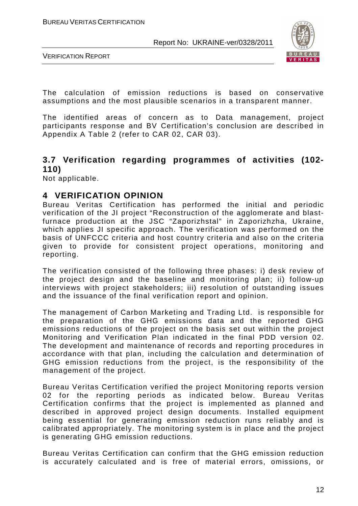

VERIFICATION REPORT

The calculation of emission reductions is based on conservative assumptions and the most plausible scenarios in a transparent manner.

The identified areas of concern as to Data management, project participants response and BV Certification's conclusion are described in Appendix A Table 2 (refer to CAR 02, CAR 03).

## **3.7 Verification regarding programmes of activities (102- 110)**

Not applicable.

## **4 VERIFICATION OPINION**

Bureau Veritas Certification has performed the initial and periodic verification of the JI project "Reconstruction of the agglomerate and blastfurnace production at the JSC "Zaporizhstal" in Zaporizhzha, Ukraine, which applies JI specific approach. The verification was performed on the basis of UNFCCC criteria and host country criteria and also on the criteria given to provide for consistent project operations, monitoring and reporting.

The verification consisted of the following three phases: i) desk review of the project design and the baseline and monitoring plan; ii) follow-up interviews with project stakeholders; iii) resolution of outstanding issues and the issuance of the final verification report and opinion.

The management of Carbon Marketing and Trading Ltd. is responsible for the preparation of the GHG emissions data and the reported GHG emissions reductions of the project on the basis set out within the project Monitoring and Verification Plan indicated in the final PDD version 02. The development and maintenance of records and reporting procedures in accordance with that plan, including the calculation and determination of GHG emission reductions from the project, is the responsibility of the management of the project.

Bureau Veritas Certification verified the project Monitoring reports version 02 for the reporting periods as indicated below. Bureau Veritas Certification confirms that the project is implemented as planned and described in approved project design documents. Installed equipment being essential for generating emission reduction runs reliably and is calibrated appropriately. The monitoring system is in place and the project is generating GHG emission reductions.

Bureau Veritas Certification can confirm that the GHG emission reduction is accurately calculated and is free of material errors, omissions, or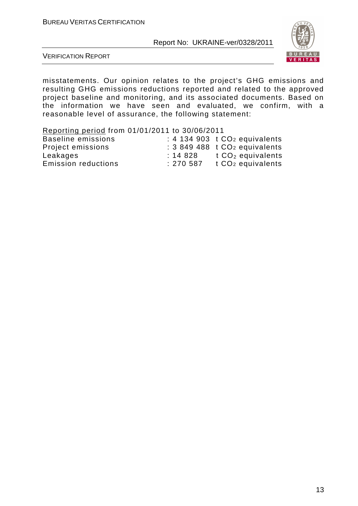

VERIFICATION REPORT

misstatements. Our opinion relates to the project's GHG emissions and resulting GHG emissions reductions reported and related to the approved project baseline and monitoring, and its associated documents. Based on the information we have seen and evaluated, we confirm, with a reasonable level of assurance, the following statement:

| Reporting period from 01/01/2011 to 30/06/2011 |          |                                           |
|------------------------------------------------|----------|-------------------------------------------|
| <b>Baseline emissions</b>                      |          | : 4 134 903 $t CO2$ equivalents           |
| Project emissions                              |          | : 3 849 488 t CO <sub>2</sub> equivalents |
| Leakages                                       | : 14828  | t $CO2$ equivalents                       |
| <b>Emission reductions</b>                     | : 270587 | t CO <sub>2</sub> equivalents             |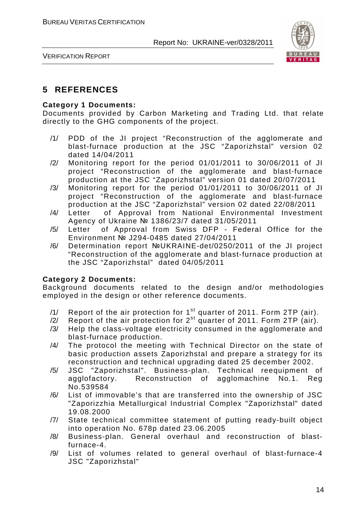

VERIFICATION REPORT

## **5 REFERENCES**

#### **Category 1 Documents:**

Documents provided by Carbon Marketing and Trading Ltd. that relate directly to the GHG components of the project.

- /1/ PDD of the JI project "Reconstruction of the agglomerate and blast-furnace production at the JSC "Zaporizhstal" version 02 dated 14/04/2011
- /2/ Monitoring report for the period 01/01/2011 to 30/06/2011 of JI project "Reconstruction of the agglomerate and blast-furnace production at the JSC "Zaporizhstal" version 01 dated 20/07/2011
- /3/ Monitoring report for the period 01/01/2011 to 30/06/2011 of JI project "Reconstruction of the agglomerate and blast-furnace production at the JSC "Zaporizhstal" version 02 dated 22/08/2011
- /4/ Letter of Approval from National Environmental Investment Agency of Ukraine № 1386/23/7 dated 31/05/2011
- /5/ Letter of Approval from Swiss DFP Federal Office for the Environment № J294-0485 dated 27/04/2011
- /6/ Determination report №UKRAINE-det/0250/2011 of the JI project "Reconstruction of the agglomerate and blast-furnace production at the JSC "Zaporizhstal" dated 04/05/2011

#### **Category 2 Documents:**

Background documents related to the design and/or methodologies employed in the design or other reference documents.

- /1/ Report of the air protection for  $1<sup>st</sup>$  quarter of 2011. Form 2TP (air).
- $/2$  Report of the air protection for  $2^{st}$  quarter of 2011. Form 2TP (air).
- /3/ Help the class-voltage electricity consumed in the agglomerate and blast-furnace production.
- /4/ The protocol the meeting with Technical Director on the state of basic production assets Zaporizhstal and prepare a strategy for its reconstruction and technical upgrading dated 25 december 2002.
- /5/ JSC "Zaporizhstal". Business-plan. Technical reequipment of agglofactory. Reconstruction of agglomachine No.1. Reg No.539584
- /6/ List of immovable's that are transferred into the ownership of JSC "Zaporizzhia Metallurgical Industrial Complex "Zaporizhstal" dated 19.08.2000
- /7/ State technical committee statement of putting ready-built object into operation No. 678p dated 23.06.2005
- /8/ Business-plan. General overhaul and reconstruction of blastfurnace-4.
- /9/ List of volumes related to general overhaul of blast-furnace-4 JSC "Zaporizhstal"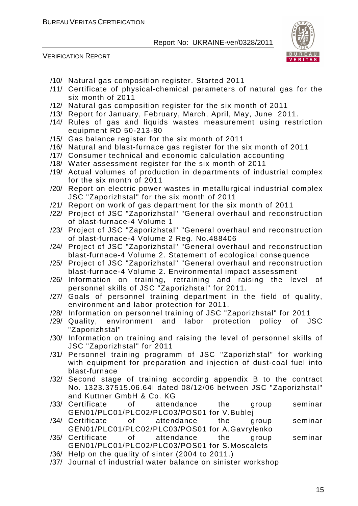

- /10/ Natural gas composition register. Started 2011
- /11/ Certificate of physical-chemical parameters of natural gas for the six month of 2011
- /12/ Natural gas composition register for the six month of 2011
- /13/ Report for January, February, March, April, May, June 2011.
- /14/ Rules of gas and liquids wastes measurement using restriction equipment RD 50-213-80
- /15/ Gas balance register for the six month of 2011
- /16/ Natural and blast-furnace gas register for the six month of 2011
- /17/ Consumer technical and economic calculation accounting
- /18/ Water assessment register for the six month of 2011
- /19/ Actual volumes of production in departments of industrial complex for the six month of 2011
- /20/ Report on electric power wastes in metallurgical industrial complex JSC "Zaporizhstal" for the six month of 2011
- /21/ Report on work of gas department for the six month of 2011
- /22/ Project of JSC "Zaporizhstal" "General overhaul and reconstruction of blast-furnace-4 Volume 1
- /23/ Project of JSC "Zaporizhstal" "General overhaul and reconstruction of blast-furnace-4 Volume 2 Reg. No.488406
- /24/ Project of JSC "Zaporizhstal" "General overhaul and reconstruction blast-furnace-4 Volume 2. Statement of ecological consequence
- /25/ Project of JSC "Zaporizhstal" "General overhaul and reconstruction blast-furnace-4 Volume 2. Environmental impact assessment
- /26/ Information on training, retraining and raising the level of personnel skills of JSC "Zaporizhstal" for 2011.
- /27/ Goals of personnel training department in the field of quality, environment and labor protection for 2011.
- /28/ Information on personnel training of JSC "Zaporizhstal" for 2011
- /29/ Quality, environment and labor protection policy of JSC "Zaporizhstal"
- /30/ Information on training and raising the level of personnel skills of JSC "Zaporizhstal" for 2011
- /31/ Personnel training programm of JSC "Zaporizhstal" for working with equipment for preparation and injection of dust-coal fuel into blast-furnace
- /32/ Second stage of training according appendix B to the contract No. 1323.37515.06.64I dated 08/12/06 between JSC "Zaporizhstal" and Kuttner GmbH & Co. KG
- /33/ Certificate of attendance the group seminar GEN01/PLC01/PLC02/PLC03/POS01 for V.Bublej
- /34/ Certificate of attendance the group seminar GEN01/PLC01/PLC02/PLC03/POS01 for A.Gavrylenko
- /35/ Certificate of attendance the group seminar GEN01/PLC01/PLC02/PLC03/POS01 for S.Moscalets
- /36/ Help on the quality of sinter (2004 to 2011.)
- /37/ Journal of industrial water balance on sinister workshop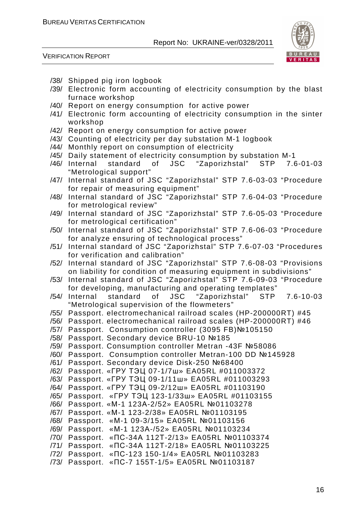



- /38/ Shipped pig iron logbook
- /39/ Electronic form accounting of electricity consumption by the blast furnace workshop
- /40/ Report on energy consumption for active power
- /41/ Electronic form accounting of electricity consumption in the sinter workshop
- /42/ Report on energy consumption for active power
- /43/ Counting of electricity per day substation M-1 logbook
- /44/ Monthly report on consumption of electricity
- /45/ Daily statement of electricity consumption by substation M-1
- /46/ Internal standard of JSC "Zaporizhstal" STP 7.6-01-03 "Metrological support"
- /47/ Internal standard of JSC "Zaporizhstal" STP 7.6-03-03 "Procedure for repair of measuring equipment"
- /48/ Internal standard of JSC "Zaporizhstal" STP 7.6-04-03 "Procedure for metrological review"
- /49/ Internal standard of JSC "Zaporizhstal" STP 7.6-05-03 "Procedure for metrological certification"
- /50/ Internal standard of JSC "Zaporizhstal" STP 7.6-06-03 "Procedure for analyze ensuring of technological process"
- /51/ Internal standard of JSC "Zaporizhstal" STP 7.6-07-03 "Procedures for verification and calibration"
- /52/ Internal standard of JSC "Zaporizhstal" STP 7.6-08-03 "Provisions on liability for condition of measuring equipment in subdivisions"
- /53/ Internal standard of JSC "Zaporizhstal" STP 7.6-09-03 "Procedure for developing, manufacturing and operating templates"
- /54/ Internal standard of JSC "Zaporizhstal" STP 7.6-10-03 "Metrological supervision of the flowmeters"
- /55/ Passport. electromechanical railroad scales (HP-200000RT) #45
- /56/ Passport. electromechanical railroad scales (HP-200000RT) #46
- /57/ Passport. Consumption controller (3095 FB)№105150
- /58/ Passport. Secondary device BRU-10 №185
- /59/ Passport. Consumption controller Metran -43F №58086
- /60/ Passport. Consumption controller Меtran-100 DD №145928
- /61/ Passport. Secondary device Disk-250 №68400
- /62/ Passport. «ГРУ ТЭЦ 07-1/7ш» EA05RL #011003372
- /63/ Passport. «ГРУ ТЭЦ 09-1/11ш» EA05RL #011003293
- /64/ Passport. «ГРУ ТЭЦ 09-2/12ш» EA05RL #01103190
- /65/ Passport. «ГРУ ТЭЦ 123-1/33ш» EA05RL #01103155
- /66/ Passport. «М-1 123А-2/52» EA05RL №01103278
- /67/ Passport. «М-1 123-2/38» EA05RL №01103195
- /68/ Passport. «М-1 09-3/15» EA05RL №01103156
- /69/ Passport. «М-1 123А-/52» EA05RL №01103234
- /70/ Passport. «ПС-34А 112Т-2/13» EA05RL №01103374
- /71/ Passport. «ПС-34А 112Т-2/18» EA05RL №01103225
- /72/ Passport. «ПС-123 150-1/4» EA05RL №01103283
- /73/ Passport. «ПС-7 155Т-1/5» EA05RL №01103187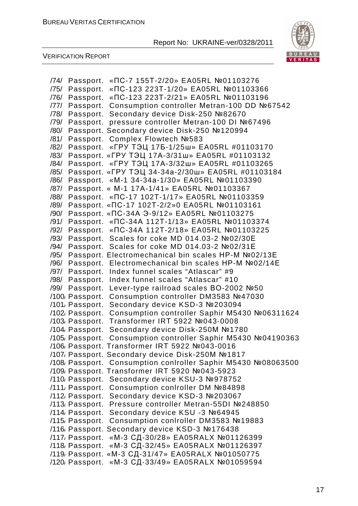

| «ПС-7 155Т-2/20» EA05RL №01103276<br>/74/<br>Passport.                        |
|-------------------------------------------------------------------------------|
| «ПС-123 223Т-1/20» EA05RL №01103366<br>/75/<br>Passport.                      |
| /76/<br>Passport.<br>«ПС-123 223Т-2/21» EA05RL №01103196                      |
| /77/<br>Passport.<br>Consumption controller Metran-100 DD №67542              |
| Secondary device Disk-250 №82670<br>/78/<br>Passport.                         |
| pressure controller Metran-100 DI №67496<br>/79/<br>Passport.                 |
| Passport. Secondary device Disk-250 №120994<br>/80/                           |
| /81/<br>Complex Flowtech №583<br>Passport.                                    |
| «ГРУ ТЭЦ 17Б-1/25ш» EA05RL #01103170<br>/82/<br>Passport.                     |
| «ГРУ ТЭЦ 17А-3/31ш» EA05RL #01103132<br>/83/<br>Passport.                     |
| /84/<br>«ГРУ ТЭЦ 17А-3/32ш» EA05RL #01103265<br>Passport.                     |
| Passport. «ГРУ ТЭЦ 34-34а-2/30ш» EA05RL #01103184<br>/85/                     |
| «M-1 34-34a-1/30» EA05RL №01103390<br>/86/<br>Passport.                       |
| /87/<br>Passport. « M-1 17A-1/41» EA05RL №01103367                            |
| /88/<br>«ПС-17 102Т-1/17» EA05RL №01103359<br>Passport.                       |
| /89/<br>«ПС-17 102Т-2/2»0 EA05RL №01103161<br>Passport.                       |
| /90/<br>«ПС-34А Э-9/12» EA05RL №01103275<br>Passport.                         |
| «ПС-34А 112Т-1/13» EA05RL №01103374<br>/91/<br>Passport.                      |
| «ПС-34А 112Т-2/18» EA05RL №01103225<br>/92/<br>Passport.                      |
| Scales for coke MD 014.03-2 №02/30E<br>/93/<br>Passport.                      |
| /94/<br>Scales for coke MD 014.03-2 №02/31E<br>Passport.                      |
| /95/<br>Passport. Electromechanical bin scales HP-M №02/13E                   |
| /96/<br>Electromechanical bin scales HP-M Nº02/14E<br>Passport.               |
| /97/<br>Index funnel scales "Atlascar" #9<br>Passport.                        |
| Index funnel scales "Atlascar" #10<br>/98/<br>Passport.                       |
| /99/<br>Passport.<br>Lever-type railroad scales BO-2002 №50                   |
| Consumption controller DM3583 №47030<br>/100/ Passport.                       |
| Secondary device KSD-3 №203094<br>/101, Passport.                             |
| Consumption controller Saphir M5430 Nº06311624<br>/102/ Passport.             |
| Transformer IRT 5922 №043-0008<br>/103/ Passport.                             |
| Secondary device Disk-250M №1780<br>/104/ Passport.                           |
| Consumption controller Saphir M5430 Nº04190363<br>/105 <sub>/</sub> Passport. |
| /106/ Passport. Transformer IRT 5922 №043-0016                                |
| /107/ Passport. Secondary device Disk-250M №1817                              |
| /108 Passport. Consumption conlroller Saphir M5430 №08063500                  |
| /109 Passport. Transformer IRT 5920 Nº043-5923                                |
| Secondary device KSU-3 №978752<br>/110 <sub>/</sub> Passport.                 |
| Consumption conlroller DM №84898<br>/111, Passport.                           |
| Secondary device KSD-3 №203067<br>/112/ Passport.                             |
| /113/ Passport.<br>Pressure controller Metran-55DI №248850                    |
| Secondary device KSU -3 №64945<br>/114/ Passport.                             |
| Consumption conlroller DM3583 Nº19883<br>/115 <sub>/</sub> Passport.          |
| /116 Passport. Secondary device KSD-3 №176438                                 |
| «М-3 СД-30/28» EA05RALX №01126399<br>/117/ Passport.                          |
| «М-3 СД-32/45» EA05RALX №01126397<br>/118/ Passport.                          |
| «М-3 СД-31/47» EA05RALX №01050775<br>/119 <sub>/</sub> Passport.              |
| «М-3 СД-33/49» EA05RALX №01059594<br>/120/ Passport.                          |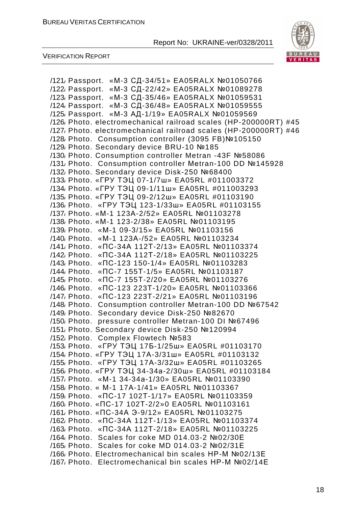

VERIFICATION REPORT

/121/ Passport. «М-3 СД-34/51» EA05RALX №01050766 /122/ Passport. «М-3 СД-22/42» EA05RALX №01089278 /123/ Passport. «М-3 СД-35/46» EA05RALX №01059531 /124/ Passport. «М-3 СД-36/48» EA05RALX №01059555 /125/ Passport. «М-3 АД-1/19» EA05RALX №01059569 /126/ Photo. electromechanical railroad scales (HP-200000RT) #45 /127/ Photo. electromechanical railroad scales (HP-200000RT) #46 /128/ Photo. Consumption controller (3095 FB)№105150 /129/ Photo. Secondary device BRU-10 №185 /130/ Photo. Consumption controller Metran -43F №58086 /131/ Photo. Consumption controller Меtran-100 DD №145928 /132/ Photo. Secondary device Disk-250 №68400 /133/ Photo. «ГРУ ТЭЦ 07-1/7ш» EA05RL #011003372 /134/ Photo. «ГРУ ТЭЦ 09-1/11ш» EA05RL #011003293 /135/ Photo. «ГРУ ТЭЦ 09-2/12ш» EA05RL #01103190 /136/ Photo. «ГРУ ТЭЦ 123-1/33ш» EA05RL #01103155 /137/ Photo. «М-1 123А-2/52» EA05RL №01103278 /138/ Photo. «М-1 123-2/38» EA05RL №01103195 /139/ Photo. «М-1 09-3/15» EA05RL №01103156 /140/ Photo. «М-1 123А-/52» EA05RL №01103234 /141/ Photo. «ПС-34А 112Т-2/13» EA05RL №01103374 /142/ Photo. «ПС-34А 112Т-2/18» EA05RL №01103225 /143/ Photo. «ПС-123 150-1/4» EA05RL №01103283 /144/ Photo. «ПС-7 155Т-1/5» EA05RL №01103187 /145/ Photo. «ПС-7 155Т-2/20» EA05RL №01103276 /146/ Photo. «ПС-123 223Т-1/20» EA05RL №01103366 /147/ Photo. «ПС-123 223Т-2/21» EA05RL №01103196 /148/ Photo. Consumption controller Меtran-100 DD №67542 /149/ Photo. Secondary device Disk-250 №82670 /150/ Photo. pressure controller Меtran-100 DI №67496 /151/ Photo. Secondary device Disk-250 №120994 /152/ Photo. Complex Flowtech №583 /153/ Photo. «ГРУ ТЭЦ 17Б-1/25ш» EA05RL #01103170 /154/ Photo. «ГРУ ТЭЦ 17А-3/31ш» EA05RL #01103132 /155/ Photo. «ГРУ ТЭЦ 17А-3/32ш» EA05RL #01103265 /156/ Photo. «ГРУ ТЭЦ 34-34а-2/30ш» EA05RL #01103184 /157/ Photo. «М-1 34-34а-1/30» EA05RL №01103390 /158/ Photo. « М-1 17А-1/41» EA05RL №01103367 /159/ Photo. «ПС-17 102Т-1/17» EA05RL №01103359 /160/ Photo. «ПС-17 102Т-2/2»0 EA05RL №01103161 /161/ Photo. «ПС-34А Э-9/12» EA05RL №01103275 /162/ Photo. «ПС-34А 112Т-1/13» EA05RL №01103374 /163/ Photo. «ПС-34А 112Т-2/18» EA05RL №01103225 /164/ Photo. Scales for coke MD 014.03-2 №02/30Е /165/ Photo. Scales for coke MD 014.03-2 №02/31Е /166/ Photo. Electromechanical bin scales НР-М №02/13Е /167/ Photo. Electromechanical bin scales НР-М №02/14Е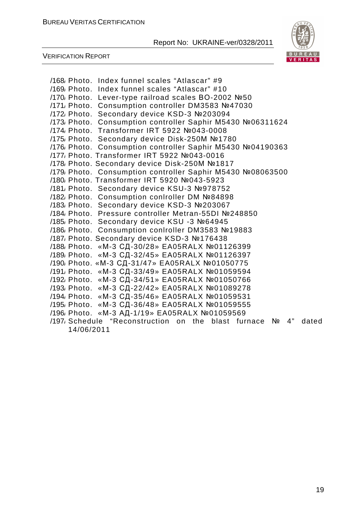

| /171, Photo.<br>/172 Photo.<br>/189, Photo.<br>/192/ Photo.<br>/193 <sub>/</sub> Photo.<br>/195 <sub>/</sub> Photo. | /168 Photo. Index funnel scales "Atlascar" #9<br>/169 Photo. Index funnel scales "Atlascar" #10<br>/170, Photo. Lever-type railroad scales BO-2002 №50<br>Consumption controller DM3583 Nº47030<br>Secondary device KSD-3 №203094<br>/173/ Photo. Consumption controller Saphir M5430 Nº06311624<br>/174 Photo. Transformer IRT 5922 №043-0008<br>/175, Photo. Secondary device Disk-250M №1780<br>/176 Photo. Consumption controller Saphir M5430 №04190363<br>/177, Photo. Transformer IRT 5922 Nº043-0016<br>/178 Photo. Secondary device Disk-250M №1817<br>/179, Photo. Consumption controller Saphir M5430 №08063500<br>/180 Photo, Transformer IRT 5920 №043-5923<br>/181, Photo. Secondary device KSU-3 №978752<br>/182/ Photo. Consumption conIroller DM №84898<br>/183 <sub></sub> Photo. Secondary device KSD-3 №203067<br>/184, Photo. Pressure controller Metran-55DI №248850<br>/185 <sub></sub> Photo. Secondary device KSU -3 №64945<br>/186/ Photo. Consumption conlroller DM3583 №19883<br>/187 <sub></sub> Photo. Secondary device KSD-3 №176438<br>/188 Photo. «М-3 СД-30/28» EA05RALX №01126399<br>«М-3 СД-32/45» EA05RALX №01126397<br>/190, Photo. «М-3 СД-31/47» EA05RALX №01050775<br>/191, Photo. «М-3 СД-33/49» EA05RALX №01059594<br>«М-3 СД-34/51» EA05RALX №01050766<br>«М-3 СД-22/42» EA05RALX №01089278<br>/194, Photo. «М-3 СД-35/46» EA05RALX №01059531<br>«М-3 СД-36/48» EA05RALX №01059555<br>/196 Photo. «М-3 АД-1/19» EA05RALX №01059569 |       |
|---------------------------------------------------------------------------------------------------------------------|--------------------------------------------------------------------------------------------------------------------------------------------------------------------------------------------------------------------------------------------------------------------------------------------------------------------------------------------------------------------------------------------------------------------------------------------------------------------------------------------------------------------------------------------------------------------------------------------------------------------------------------------------------------------------------------------------------------------------------------------------------------------------------------------------------------------------------------------------------------------------------------------------------------------------------------------------------------------------------------------------------------------------------------------------------------------------------------------------------------------------------------------------------------------------------------------------------------------------------------------------------------------------------------------------------------------------------------------------------------------------------------------------------------------------------------------------------------------------------|-------|
| 14/06/2011                                                                                                          | /197, Schedule "Reconstruction on the blast furnace $N_2$ 4"                                                                                                                                                                                                                                                                                                                                                                                                                                                                                                                                                                                                                                                                                                                                                                                                                                                                                                                                                                                                                                                                                                                                                                                                                                                                                                                                                                                                                   | dated |
|                                                                                                                     |                                                                                                                                                                                                                                                                                                                                                                                                                                                                                                                                                                                                                                                                                                                                                                                                                                                                                                                                                                                                                                                                                                                                                                                                                                                                                                                                                                                                                                                                                |       |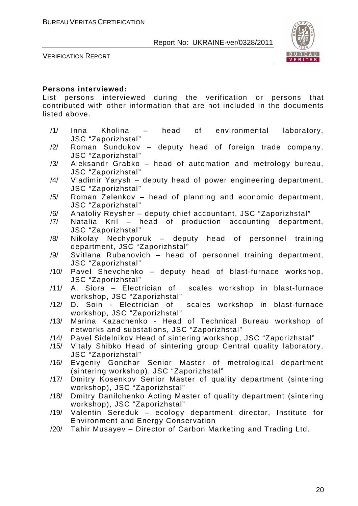

VERIFICATION REPORT

#### **Persons interviewed:**

List persons interviewed during the verification or persons that contributed with other information that are not included in the documents listed above.

- /1/ Inna Kholina head of environmental laboratory, JSC "Zaporizhstal"
- /2/ Roman Sundukov deputy head of foreign trade company, JSC "Zaporizhstal"
- /3/ Aleksandr Grabko head of automation and metrology bureau, JSC "Zaporizhstal"
- /4/ Vladimir Yarysh deputy head of power engineering department, JSC "Zaporizhstal"
- /5/ Roman Zelenkov head of planning and economic department, JSC "Zaporizhstal"
- /6/ Anatoliy Reysher deputy chief accountant, JSC "Zaporizhstal"
- /7/ Natalia Kril head of production accounting department, JSC "Zaporizhstal"
- /8/ Nikolay Nechyporuk deputy head of personnel training department, JSC "Zaporizhstal"
- /9/ Svitlana Rubanovich head of personnel training department, JSC "Zaporizhstal"
- /10/ Pavel Shevchenko deputy head of blast-furnace workshop, JSC "Zaporizhstal"
- /11/ A. Siora Electrician of scales workshop in blast-furnace workshop, JSC "Zaporizhstal"
- /12/ D. Soin Electrician of scales workshop in blast-furnace workshop, JSC "Zaporizhstal"
- /13/ Marina Kazachenko Head of Technical Bureau workshop of networks and substations, JSC "Zaporizhstal"
- /14/ Pavel Sidelnikov Head of sintering workshop, JSC "Zaporizhstal"
- /15/ Vitaly Shibko Head of sintering group Central quality laboratory, JSC "Zaporizhstal"
- /16/ Evgeniy Gonchar Senior Master of metrological department (sintering workshop), JSC "Zaporizhstal"
- /17/ Dmitry Kosenkov Senior Master of quality department (sintering workshop), JSC "Zaporizhstal"
- /18/ Dmitry Danilchenko Acting Master of quality department (sintering workshop), JSC "Zaporizhstal"
- /19/ Valentin Sereduk ecology department director, Institute for Environment and Energy Conservation
- /20/ Tahir Musayev Director of Carbon Marketing and Trading Ltd.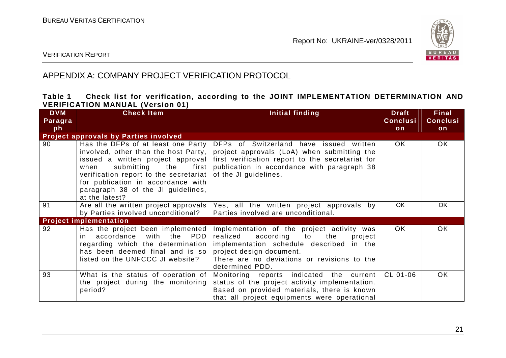

#### VERIFICATION REPORT

## APPENDIX A: COMPANY PROJECT VERIFICATION PROTOCOL

#### **Table 1 Check list for verification, according to the JOINT IMPLEMENTATION DETERMINATION AND VERIFICATION MANUAL (Version 01)**

| <b>DVM</b> | <b>Check Item</b>                                                                                                                                                                                                                                                                       | Initial finding                                                                                                                                                                                                                 | <b>Draft</b>    | <b>Final</b>    |
|------------|-----------------------------------------------------------------------------------------------------------------------------------------------------------------------------------------------------------------------------------------------------------------------------------------|---------------------------------------------------------------------------------------------------------------------------------------------------------------------------------------------------------------------------------|-----------------|-----------------|
| Paragra    |                                                                                                                                                                                                                                                                                         |                                                                                                                                                                                                                                 | <b>Conclusi</b> | <b>Conclusi</b> |
| ph         |                                                                                                                                                                                                                                                                                         |                                                                                                                                                                                                                                 | on              | on              |
|            | Project approvals by Parties involved                                                                                                                                                                                                                                                   |                                                                                                                                                                                                                                 |                 |                 |
| 90         | Has the DFPs of at least one Party<br>involved, other than the host Party,<br>issued a written project approval<br>submitting the first<br>when<br>verification report to the secretariat<br>for publication in accordance with<br>paragraph 38 of the JI guidelines,<br>at the latest? | DFPs of Switzerland have issued written<br>project approvals (LoA) when submitting the<br>first verification report to the secretariat for<br>publication in accordance with paragraph 38<br>of the JI guidelines.              | OK.             | OK.             |
| 91         | Are all the written project approvals<br>by Parties involved unconditional?                                                                                                                                                                                                             | Yes, all the written project approvals by<br>Parties involved are unconditional.                                                                                                                                                | OK              | OK              |
|            | <b>Project implementation</b>                                                                                                                                                                                                                                                           |                                                                                                                                                                                                                                 |                 |                 |
| 92         | Has the project been implemented<br>in accordance<br>with the PDD<br>regarding which the determination<br>has been deemed final and is so<br>listed on the UNFCCC JI website?                                                                                                           | Implementation of the project activity was<br>according to the<br>realized<br>project<br>implementation schedule described in the<br>project design document.<br>There are no deviations or revisions to the<br>determined PDD. | OK.             | OK.             |
| 93         | What is the status of operation of<br>the project during the monitoring<br>period?                                                                                                                                                                                                      | Monitoring reports indicated the current<br>status of the project activity implementation.<br>Based on provided materials, there is known<br>that all project equipments were operational                                       | CL 01-06        | OK.             |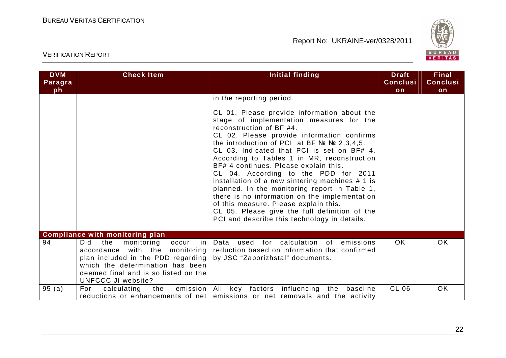

| <b>DVM</b><br>Paragra<br>ph | <b>Check Item</b>                                                                                                                                                                                                            | Initial finding                                                                                                                                                                                                                                                                                                                                                                                                                                                                                                                                                                                                                                                                                                                       | <b>Draft</b><br><b>Conclusi</b><br>on | <b>Final</b><br><b>Conclusi</b><br>on |
|-----------------------------|------------------------------------------------------------------------------------------------------------------------------------------------------------------------------------------------------------------------------|---------------------------------------------------------------------------------------------------------------------------------------------------------------------------------------------------------------------------------------------------------------------------------------------------------------------------------------------------------------------------------------------------------------------------------------------------------------------------------------------------------------------------------------------------------------------------------------------------------------------------------------------------------------------------------------------------------------------------------------|---------------------------------------|---------------------------------------|
|                             |                                                                                                                                                                                                                              | in the reporting period.<br>CL 01. Please provide information about the<br>stage of implementation measures for the<br>reconstruction of BF #4.<br>CL 02. Please provide information confirms<br>the introduction of PCI at BF $N2$ $N2$ , 2, 3, 4, 5.<br>CL 03. Indicated that PCI is set on BF# 4.<br>According to Tables 1 in MR, reconstruction<br>BF# 4 continues. Please explain this.<br>CL 04. According to the PDD for 2011<br>installation of a new sintering machines $# 1$ is<br>planned. In the monitoring report in Table 1,<br>there is no information on the implementation<br>of this measure. Please explain this.<br>CL 05. Please give the full definition of the<br>PCI and describe this technology in details. |                                       |                                       |
|                             | <b>Compliance with monitoring plan</b>                                                                                                                                                                                       |                                                                                                                                                                                                                                                                                                                                                                                                                                                                                                                                                                                                                                                                                                                                       |                                       |                                       |
| 94                          | <b>Did</b><br>the<br>monitoring<br>occur<br>in.<br>accordance<br>with the monitoring<br>plan included in the PDD regarding<br>which the determination has been<br>deemed final and is so listed on the<br>UNFCCC JI website? | Data used for calculation of emissions<br>reduction based on information that confirmed<br>by JSC "Zaporizhstal" documents.                                                                                                                                                                                                                                                                                                                                                                                                                                                                                                                                                                                                           | <b>OK</b>                             | <b>OK</b>                             |
| 95(a)                       | For<br>calculating<br>the<br>emission<br>reductions or enhancements of net                                                                                                                                                   | All<br>key factors influencing<br>the baseline<br>emissions or net removals and the activity                                                                                                                                                                                                                                                                                                                                                                                                                                                                                                                                                                                                                                          | <b>CL 06</b>                          | <b>OK</b>                             |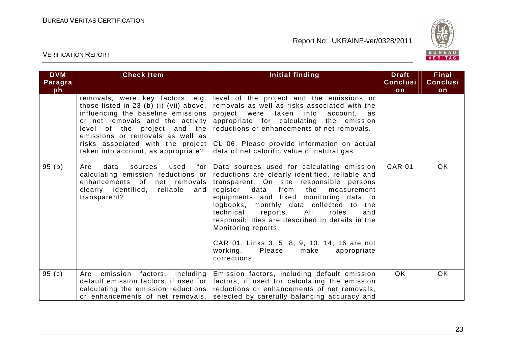

| <b>DVM</b><br>Paragra<br>ph | <b>Check Item</b>                                                                                                                                                                                                                                                                                     | Initial finding                                                                                                                                                                                                                                                                                                                                                                                                                                                                                                        | <b>Draft</b><br><b>Conclusi</b><br>on | Final<br><b>Conclusi</b><br>on |
|-----------------------------|-------------------------------------------------------------------------------------------------------------------------------------------------------------------------------------------------------------------------------------------------------------------------------------------------------|------------------------------------------------------------------------------------------------------------------------------------------------------------------------------------------------------------------------------------------------------------------------------------------------------------------------------------------------------------------------------------------------------------------------------------------------------------------------------------------------------------------------|---------------------------------------|--------------------------------|
|                             | removals, were key factors, e.g.<br>those listed in 23 (b) (i)-(vii) above,<br>influencing the baseline emissions<br>or net removals and the activity<br>level of the project and the<br>emissions or removals as well as<br>risks associated with the project<br>taken into account, as appropriate? | level of the project and the emissions or<br>removals as well as risks associated with the<br>project were<br>taken into<br>account, as<br>appropriate for calculating the emission<br>reductions or enhancements of net removals.<br>CL 06. Please provide information on actual<br>data of net calorific value of natural gas                                                                                                                                                                                        |                                       |                                |
| 95(b)                       | data<br>Are<br>sources<br>used<br>for<br>calculating emission reductions or<br>enhancements of<br>net removals<br>clearly identified, reliable<br>and<br>transparent?                                                                                                                                 | Data sources used for calculating emission<br>reductions are clearly identified, reliable and<br>transparent. On site responsible persons<br>data<br>from the<br>register<br>measurement<br>equipments and fixed monitoring data to<br>logbooks, monthly data collected to the<br>reports.<br>AII<br>roles<br>technical<br>and<br>responsibilities are described in details in the<br>Monitoring reports.<br>CAR 01. Links 3, 5, 8, 9, 10, 14, 16 are not<br>working.<br>Please<br>make<br>appropriate<br>corrections. | <b>CAR 01</b>                         | OK.                            |
| 95(c)                       | emission factors,<br>Are<br>including<br>default emission factors, if used for<br>calculating the emission reductions<br>or enhancements of net removals,                                                                                                                                             | Emission factors, including default emission<br>factors, if used for calculating the emission<br>reductions or enhancements of net removals,<br>selected by carefully balancing accuracy and                                                                                                                                                                                                                                                                                                                           | OK.                                   | <b>OK</b>                      |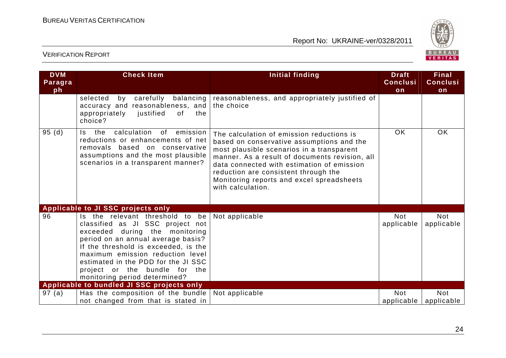

| <b>DVM</b><br>Paragra<br>ph | <b>Check Item</b>                                                                                                                                                                                                                                                                                                                | <b>Initial finding</b>                                                                                                                                                                                                                                                                                                                        | <b>Draft</b><br><b>Conclusi</b><br>on | <b>Final</b><br><b>Conclusi</b><br>on |
|-----------------------------|----------------------------------------------------------------------------------------------------------------------------------------------------------------------------------------------------------------------------------------------------------------------------------------------------------------------------------|-----------------------------------------------------------------------------------------------------------------------------------------------------------------------------------------------------------------------------------------------------------------------------------------------------------------------------------------------|---------------------------------------|---------------------------------------|
|                             | selected<br>carefully<br>balancing<br>by<br>accuracy and reasonableness, and<br>appropriately<br>justified<br>of<br>the<br>choice?                                                                                                                                                                                               | reasonableness, and appropriately justified of<br>the choice                                                                                                                                                                                                                                                                                  |                                       |                                       |
| 95(d)                       | Is the<br>calculation<br>emission<br>of<br>reductions or enhancements of net<br>removals based on conservative<br>assumptions and the most plausible<br>scenarios in a transparent manner?                                                                                                                                       | The calculation of emission reductions is<br>based on conservative assumptions and the<br>most plausible scenarios in a transparent<br>manner. As a result of documents revision, all<br>data connected with estimation of emission<br>reduction are consistent through the<br>Monitoring reports and excel spreadsheets<br>with calculation. | <b>OK</b>                             | OK                                    |
|                             | Applicable to JI SSC projects only                                                                                                                                                                                                                                                                                               |                                                                                                                                                                                                                                                                                                                                               |                                       |                                       |
| 96                          | Is the relevant threshold to be<br>classified as JI SSC project not<br>exceeded during the monitoring<br>period on an annual average basis?<br>If the threshold is exceeded, is the<br>maximum emission reduction level<br>estimated in the PDD for the JI SSC<br>project or the bundle for the<br>monitoring period determined? | Not applicable                                                                                                                                                                                                                                                                                                                                | <b>Not</b><br>applicable              | <b>Not</b><br>applicable              |
|                             | Applicable to bundled JI SSC projects only                                                                                                                                                                                                                                                                                       |                                                                                                                                                                                                                                                                                                                                               |                                       |                                       |
| 97 (a)                      | Has the composition of the bundle<br>not changed from that is stated in                                                                                                                                                                                                                                                          | Not applicable                                                                                                                                                                                                                                                                                                                                | <b>Not</b><br>applicable              | <b>Not</b><br>applicable              |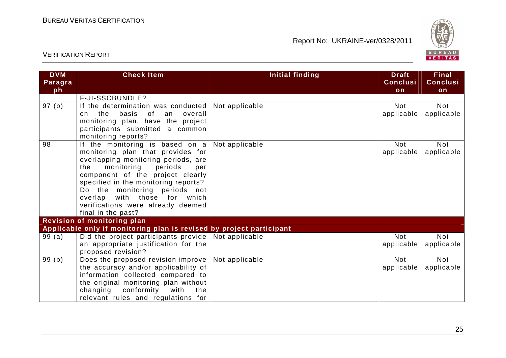

| <b>DVM</b><br>Paragra | <b>Check Item</b>                                                    | Initial finding | <b>Draft</b><br><b>Conclusi</b> | <b>Final</b><br><b>Conclusi</b> |
|-----------------------|----------------------------------------------------------------------|-----------------|---------------------------------|---------------------------------|
| ph                    |                                                                      |                 | on                              | on                              |
|                       | F-JI-SSCBUNDLE?                                                      |                 |                                 |                                 |
| 97 (b)                | If the determination was conducted                                   | Not applicable  | Not                             | Not                             |
|                       | basis<br>the<br>0f.<br>overall<br>an<br>$\Omega$                     |                 | applicable                      | applicable                      |
|                       | monitoring plan, have the project                                    |                 |                                 |                                 |
|                       | participants submitted a common                                      |                 |                                 |                                 |
|                       | monitoring reports?                                                  |                 |                                 |                                 |
| 98                    | If the monitoring is based on a                                      | Not applicable  | <b>Not</b>                      | <b>Not</b>                      |
|                       | monitoring plan that provides for                                    |                 | applicable                      | applicable                      |
|                       | overlapping monitoring periods, are                                  |                 |                                 |                                 |
|                       | monitoring<br>periods<br>the<br>per                                  |                 |                                 |                                 |
|                       | component of the project clearly                                     |                 |                                 |                                 |
|                       | specified in the monitoring reports?                                 |                 |                                 |                                 |
|                       | Do the monitoring periods not                                        |                 |                                 |                                 |
|                       | overlap with those for which                                         |                 |                                 |                                 |
|                       | verifications were already deemed<br>final in the past?              |                 |                                 |                                 |
|                       | <b>Revision of monitoring plan</b>                                   |                 |                                 |                                 |
|                       | Applicable only if monitoring plan is revised by project participant |                 |                                 |                                 |
| 99(a)                 | Did the project participants provide                                 | Not applicable  | <b>Not</b>                      | <b>Not</b>                      |
|                       | an appropriate justification for the                                 |                 | applicable                      | applicable                      |
|                       | proposed revision?                                                   |                 |                                 |                                 |
| 99(b)                 | Does the proposed revision improve                                   | Not applicable  | <b>Not</b>                      | <b>Not</b>                      |
|                       | the accuracy and/or applicability of                                 |                 | applicable                      | applicable                      |
|                       | information collected compared to                                    |                 |                                 |                                 |
|                       | the original monitoring plan without                                 |                 |                                 |                                 |
|                       | conformity<br>changing<br>with<br>the                                |                 |                                 |                                 |
|                       | relevant rules and regulations for                                   |                 |                                 |                                 |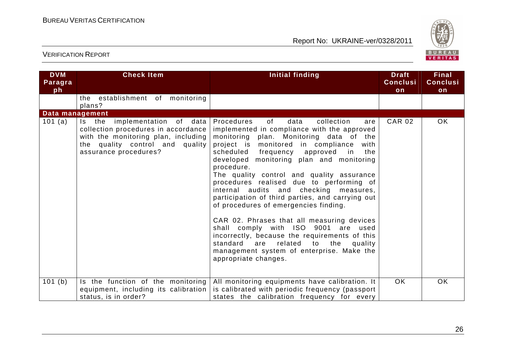

| <b>DVM</b><br>Paragra<br>ph | <b>Check Item</b>                                                                                                                                                       | <b>Initial finding</b>                                                                                                                                                                                                                                                                                                                                                                                                                                                                                                                                                                                                                                                                                                                                                               | <b>Draft</b><br><b>Conclusi</b><br>on | <b>Final</b><br><b>Conclusi</b><br>on |
|-----------------------------|-------------------------------------------------------------------------------------------------------------------------------------------------------------------------|--------------------------------------------------------------------------------------------------------------------------------------------------------------------------------------------------------------------------------------------------------------------------------------------------------------------------------------------------------------------------------------------------------------------------------------------------------------------------------------------------------------------------------------------------------------------------------------------------------------------------------------------------------------------------------------------------------------------------------------------------------------------------------------|---------------------------------------|---------------------------------------|
|                             | the establishment of monitoring<br>plans?                                                                                                                               |                                                                                                                                                                                                                                                                                                                                                                                                                                                                                                                                                                                                                                                                                                                                                                                      |                                       |                                       |
| Data management<br>101 (a)  | Is the implementation of data<br>collection procedures in accordance<br>with the monitoring plan, including<br>the quality control and quality<br>assurance procedures? | 0f<br>data<br>Procedures<br>collection<br>are<br>implemented in compliance with the approved<br>monitoring plan. Monitoring data of the<br>project is monitored in compliance<br>with<br>scheduled frequency approved in<br>the<br>developed monitoring plan and monitoring<br>procedure.<br>The quality control and quality assurance<br>procedures realised due to performing of<br>internal audits and checking measures,<br>participation of third parties, and carrying out<br>of procedures of emergencies finding.<br>CAR 02. Phrases that all measuring devices<br>shall comply with ISO 9001 are used<br>incorrectly, because the requirements of this<br>related to the<br>standard<br>quality<br>are<br>management system of enterprise. Make the<br>appropriate changes. | <b>CAR 02</b>                         | <b>OK</b>                             |
| 101 (b)                     | Is the function of the monitoring<br>equipment, including its calibration<br>status, is in order?                                                                       | All monitoring equipments have calibration. It<br>is calibrated with periodic frequency (passport<br>states the calibration frequency for every                                                                                                                                                                                                                                                                                                                                                                                                                                                                                                                                                                                                                                      | OK.                                   | <b>OK</b>                             |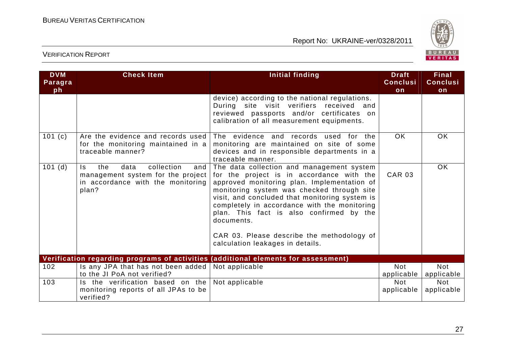

| <b>DVM</b><br>Paragra<br>ph | <b>Check Item</b>                                                                                                          | <b>Initial finding</b>                                                                                                                                                                                                                                                                                                                                                                                                            | <b>Draft</b><br><b>Conclusi</b><br>on | <b>Final</b><br><b>Conclusi</b><br>on |
|-----------------------------|----------------------------------------------------------------------------------------------------------------------------|-----------------------------------------------------------------------------------------------------------------------------------------------------------------------------------------------------------------------------------------------------------------------------------------------------------------------------------------------------------------------------------------------------------------------------------|---------------------------------------|---------------------------------------|
|                             |                                                                                                                            | device) according to the national regulations.<br>During site visit verifiers received and<br>reviewed passports and/or certificates on<br>calibration of all measurement equipments.                                                                                                                                                                                                                                             |                                       |                                       |
| 101 $(c)$                   | Are the evidence and records used<br>for the monitoring maintained in a<br>traceable manner?                               | The evidence and records used for the<br>monitoring are maintained on site of some<br>devices and in responsible departments in a<br>traceable manner.                                                                                                                                                                                                                                                                            | <b>OK</b>                             | <b>OK</b>                             |
| $101$ (d)                   | collection<br>data<br>the<br>and<br>Is.<br>management system for the project<br>in accordance with the monitoring<br>plan? | The data collection and management system<br>for the project is in accordance with the<br>approved monitoring plan. Implementation of<br>monitoring system was checked through site<br>visit, and concluded that monitoring system is<br>completely in accordance with the monitoring<br>plan. This fact is also confirmed by the<br>documents.<br>CAR 03. Please describe the methodology of<br>calculation leakages in details. | <b>CAR 03</b>                         | OK                                    |
|                             |                                                                                                                            | Verification regarding programs of activities (additional elements for assessment)                                                                                                                                                                                                                                                                                                                                                |                                       |                                       |
| 102                         | Is any JPA that has not been added<br>to the JI PoA not verified?                                                          | Not applicable                                                                                                                                                                                                                                                                                                                                                                                                                    | <b>Not</b><br>applicable              | <b>Not</b><br>applicable              |
| 103                         | Is the verification based on the<br>monitoring reports of all JPAs to be<br>verified?                                      | Not applicable                                                                                                                                                                                                                                                                                                                                                                                                                    | <b>Not</b><br>applicable              | <b>Not</b><br>applicable              |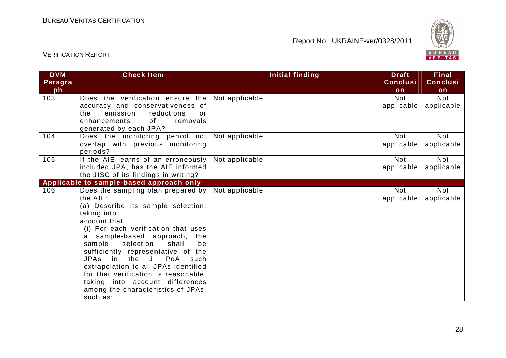

| <b>DVM</b><br>Paragra<br>ph | <b>Check Item</b>                                                                                                                                                                                                                                                                                                                                                                                                                                                                           | Initial finding | <b>Draft</b><br><b>Conclusi</b><br>on | <b>Final</b><br><b>Conclusi</b><br>on |
|-----------------------------|---------------------------------------------------------------------------------------------------------------------------------------------------------------------------------------------------------------------------------------------------------------------------------------------------------------------------------------------------------------------------------------------------------------------------------------------------------------------------------------------|-----------------|---------------------------------------|---------------------------------------|
| 103                         | Does the verification ensure the<br>accuracy and conservativeness of<br>emission<br>reductions<br>the<br>or<br>of<br>removals<br>enhancements<br>generated by each JPA?                                                                                                                                                                                                                                                                                                                     | Not applicable  | <b>Not</b><br>applicable              | <b>Not</b><br>applicable              |
| 104                         | Does the monitoring period not<br>overlap with previous monitoring<br>periods?                                                                                                                                                                                                                                                                                                                                                                                                              | Not applicable  | <b>Not</b><br>applicable              | <b>Not</b><br>applicable              |
| 105                         | If the AIE learns of an erroneously<br>included JPA, has the AIE informed<br>the JISC of its findings in writing?                                                                                                                                                                                                                                                                                                                                                                           | Not applicable  | <b>Not</b><br>applicable              | <b>Not</b><br>applicable              |
|                             | Applicable to sample-based approach only                                                                                                                                                                                                                                                                                                                                                                                                                                                    |                 |                                       |                                       |
| 106                         | Does the sampling plan prepared by<br>the AIE:<br>(a) Describe its sample selection,<br>taking into<br>account that:<br>(i) For each verification that uses<br>sample-based approach,<br>the<br>selection<br>sample<br>shall<br>be<br>sufficiently representative of the<br>in the<br><b>JPAs</b><br>JI<br>PoA<br>such<br>extrapolation to all JPAs identified<br>for that verification is reasonable,<br>taking into account differences<br>among the characteristics of JPAs,<br>such as: | Not applicable  | <b>Not</b><br>applicable              | <b>Not</b><br>applicable              |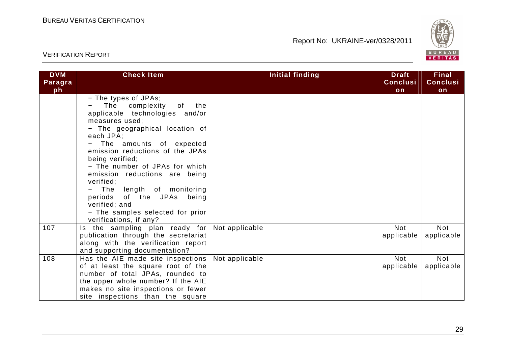

| <b>DVM</b><br>Paragra<br>ph | <b>Check Item</b>                                                                                                                                                                                                                                                                                                                                                                                                                                               | <b>Initial finding</b> | <b>Draft</b><br><b>Conclusi</b><br>on | Final<br><b>Conclusi</b><br>on |
|-----------------------------|-----------------------------------------------------------------------------------------------------------------------------------------------------------------------------------------------------------------------------------------------------------------------------------------------------------------------------------------------------------------------------------------------------------------------------------------------------------------|------------------------|---------------------------------------|--------------------------------|
|                             | - The types of JPAs;<br>The complexity<br>of<br>the<br>applicable technologies and/or<br>measures used;<br>- The geographical location of<br>each JPA;<br>The amounts of expected<br>emission reductions of the JPAs<br>being verified;<br>- The number of JPAs for which<br>emission reductions are being<br>verified;<br>The length of monitoring<br>periods of the JPAs being<br>verified; and<br>- The samples selected for prior<br>verifications, if any? |                        |                                       |                                |
| 107                         | Is the sampling plan ready for<br>publication through the secretariat<br>along with the verification report<br>and supporting documentation?                                                                                                                                                                                                                                                                                                                    | Not applicable         | <b>Not</b><br>applicable              | <b>Not</b><br>applicable       |
| 108                         | Has the AIE made site inspections<br>of at least the square root of the<br>number of total JPAs, rounded to<br>the upper whole number? If the AIE<br>makes no site inspections or fewer<br>site inspections than the square                                                                                                                                                                                                                                     | Not applicable         | <b>Not</b><br>applicable              | <b>Not</b><br>applicable       |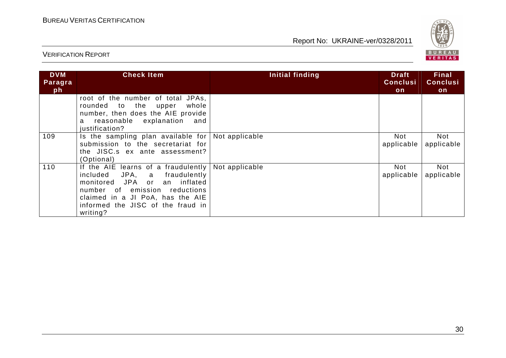

| <b>DVM</b><br>Paragra<br>ph | <b>Check Item</b>                                                                                                                                                                                                            | Initial finding | <b>Draft</b><br><b>Conclusi</b><br>on | Final<br><b>Conclusi</b><br><b>on</b> |
|-----------------------------|------------------------------------------------------------------------------------------------------------------------------------------------------------------------------------------------------------------------------|-----------------|---------------------------------------|---------------------------------------|
|                             | root of the number of total JPAs,<br>rounded to the upper<br>whole<br>number, then does the AIE provide<br>reasonable explanation<br>and<br>a<br>justification?                                                              |                 |                                       |                                       |
| 109                         | Is the sampling plan available for<br>submission to the secretariat for<br>the JISC.s ex ante assessment?<br>(Optional)                                                                                                      | Not applicable  | Not<br>applicable                     | Not<br>applicable                     |
| 110                         | If the AIE learns of a fraudulently<br>JPA, a fraudulently<br>included<br>monitored JPA or an inflated<br>number of emission reductions<br>claimed in a JI PoA, has the AIE<br>informed the JISC of the fraud in<br>writing? | Not applicable  | <b>Not</b><br>applicable              | Not<br>applicable                     |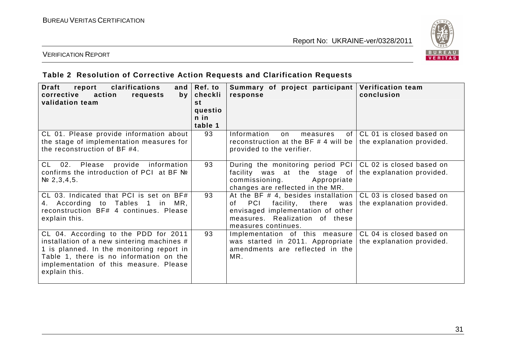

## VERIFICATION REPORT

## **Table 2 Resolution of Corrective Action Requests and Clarification Requests**

| <b>Draft</b><br>clarifications<br>report<br>and $ $<br>corrective<br>action<br>requests<br>by<br>validation team                                                                                                                      | Ref. to<br>checkli<br>st<br>questio<br>n in<br>table 1 | Summary of project participant<br>response                                                                                                                                             | <b>Verification team</b><br>conclusion                |
|---------------------------------------------------------------------------------------------------------------------------------------------------------------------------------------------------------------------------------------|--------------------------------------------------------|----------------------------------------------------------------------------------------------------------------------------------------------------------------------------------------|-------------------------------------------------------|
| CL 01. Please provide information about<br>the stage of implementation measures for<br>the reconstruction of BF #4.                                                                                                                   | 93                                                     | Information<br>of <sub>1</sub><br>on<br>measures<br>reconstruction at the BF # 4 will be<br>provided to the verifier.                                                                  | CL 01 is closed based on<br>the explanation provided. |
| CL 02.<br>Please provide information<br>confirms the introduction of PCI at BF Nº<br>$N2$ , 3, 4, 5.                                                                                                                                  | 93                                                     | During the monitoring period PCI<br>facility was at the stage of<br>commissioning.<br>Appropriate<br>changes are reflected in the MR.                                                  | CL 02 is closed based on<br>the explanation provided. |
| CL 03. Indicated that PCI is set on BF#<br>4. According to Tables 1 in MR,<br>reconstruction BF# 4 continues. Please<br>explain this.                                                                                                 | 93                                                     | At the BF $#$ 4, besides installation $ $<br><b>PCI</b><br>facility, there<br>0f.<br>was<br>envisaged implementation of other<br>measures. Realization of these<br>measures continues. | CL 03 is closed based on<br>the explanation provided. |
| CL 04. According to the PDD for 2011<br>installation of a new sintering machines #<br>1 is planned. In the monitoring report in<br>Table 1, there is no information on the<br>implementation of this measure. Please<br>explain this. | 93                                                     | Implementation of this measure  <br>was started in 2011. Appropriate<br>amendments are reflected in the<br>MR.                                                                         | CL 04 is closed based on<br>the explanation provided. |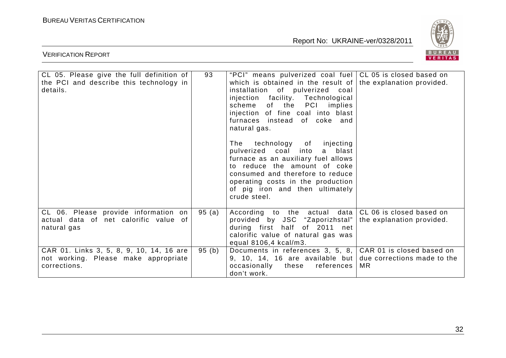

| CL 05. Please give the full definition of | 93    | "PCI" means pulverized coal fuel CL 05 is closed based on    |                           |
|-------------------------------------------|-------|--------------------------------------------------------------|---------------------------|
| the PCI and describe this technology in   |       | which is obtained in the result of the explanation provided. |                           |
| details.                                  |       | installation of pulverized coal                              |                           |
|                                           |       | injection facility. Technological                            |                           |
|                                           |       | scheme of the PCI implies                                    |                           |
|                                           |       | injection of fine coal into blast                            |                           |
|                                           |       | furnaces instead of coke and                                 |                           |
|                                           |       | natural gas.                                                 |                           |
|                                           |       |                                                              |                           |
|                                           |       | The technology of<br>injecting                               |                           |
|                                           |       | pulverized coal into<br>a blast                              |                           |
|                                           |       | furnace as an auxiliary fuel allows                          |                           |
|                                           |       | to reduce the amount of coke                                 |                           |
|                                           |       | consumed and therefore to reduce                             |                           |
|                                           |       | operating costs in the production                            |                           |
|                                           |       | of pig iron and then ultimately                              |                           |
|                                           |       | crude steel.                                                 |                           |
|                                           |       |                                                              |                           |
| CL 06. Please provide information on      | 95(a) | According to the actual data $ CL 06$ is closed based on     |                           |
| actual data of net calorific value of     |       | provided by JSC "Zaporizhstal"                               | the explanation provided. |
| natural gas                               |       | during first half of 2011 net                                |                           |
|                                           |       | calorific value of natural gas was                           |                           |
|                                           |       | equal 8106,4 kcal/m3.                                        |                           |
| CAR 01. Links 3, 5, 8, 9, 10, 14, 16 are  | 95(b) | Documents in references 3, 5, 8, CAR 01 is closed based on   |                           |
| not working. Please make appropriate      |       | 9, 10, 14, 16 are available but due corrections made to the  |                           |
| corrections.                              |       | occasionally these<br>references                             | <b>MR</b>                 |
|                                           |       | don't work.                                                  |                           |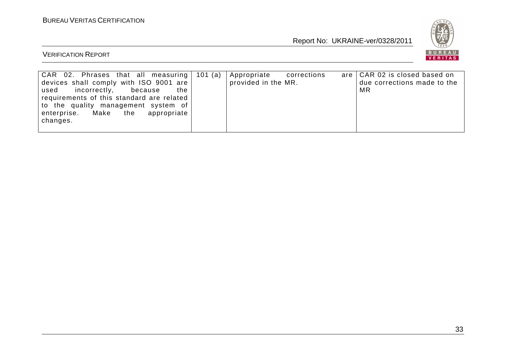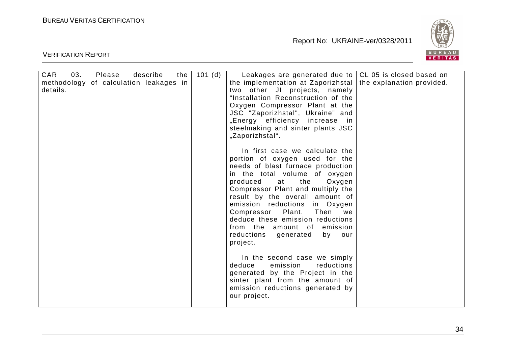VERIFICATION REPORT

Report No: UKRAINE-ver/0328/2011



| describe<br>CAR<br>03.<br>Please<br>the<br>methodology of calculation leakages in<br>details. | 101(d) | Leakages are generated due to<br>the implementation at Zaporizhstal<br>two other JI projects, namely<br>"Installation Reconstruction of the<br>Oxygen Compressor Plant at the<br>JSC "Zaporizhstal", Ukraine" and<br>"Energy efficiency increase in<br>steelmaking and sinter plants JSC<br>"Zaporizhstal".<br>In first case we calculate the<br>portion of oxygen used for the<br>needs of blast furnace production<br>in the total volume of oxygen<br>produced<br>the<br>Oxygen<br>at<br>Compressor Plant and multiply the<br>result by the overall amount of<br>emission reductions<br>in Oxygen<br>Compressor Plant.<br>Then<br>we<br>deduce these emission reductions<br>from the amount of<br>emission<br>reductions<br>generated<br>by<br>our<br>project.<br>In the second case we simply<br>emission<br>reductions<br>deduce<br>generated by the Project in the<br>sinter plant from the amount of<br>emission reductions generated by<br>our project. | CL 05 is closed based on<br>the explanation provided. |
|-----------------------------------------------------------------------------------------------|--------|-----------------------------------------------------------------------------------------------------------------------------------------------------------------------------------------------------------------------------------------------------------------------------------------------------------------------------------------------------------------------------------------------------------------------------------------------------------------------------------------------------------------------------------------------------------------------------------------------------------------------------------------------------------------------------------------------------------------------------------------------------------------------------------------------------------------------------------------------------------------------------------------------------------------------------------------------------------------|-------------------------------------------------------|
|                                                                                               |        |                                                                                                                                                                                                                                                                                                                                                                                                                                                                                                                                                                                                                                                                                                                                                                                                                                                                                                                                                                 |                                                       |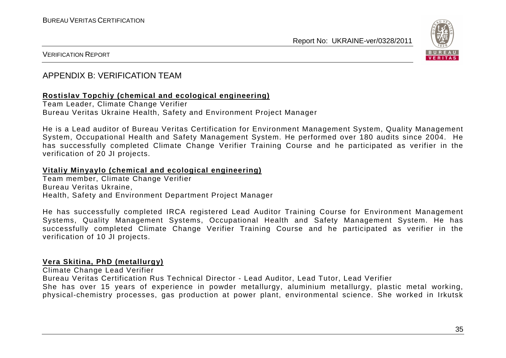

#### VERIFICATION REPORT

## APPENDIX B: VERIFICATION TEAM

#### **Rostislav Topchiy (chemical and ecological engineering)**

Team Leader, Climate Change Verifier Bureau Veritas Ukraine Health, Safety and Environment Project Manager

He is a Lead auditor of Bureau Veritas Certification for Environment Management System, Quality Management System, Occupational Health and Safety Management System. He performed over 180 audits since 2004. He has successfully completed Climate Change Verifier Training Course and he participated as verifier in the verification of 20 JI projects.

#### **Vitaliy Minyaylo (chemical and ecological engineering)**

Team member, Climate Change Verifier Bureau Veritas Ukraine, Health, Safety and Environment Department Project Manager

He has successfully completed IRCA registered Lead Auditor Training Course for Environment Management Systems, Quality Management Systems, Occupational Health and Safety Management System. He has successfully completed Climate Change Verifier Training Course and he participated as verifier in the verification of 10 JI projects.

#### **Vera Skitina, PhD (metallurgy)**

Climate Change Lead Verifier

Bureau Veritas Certification Rus Technical Director - Lead Auditor, Lead Tutor, Lead Verifier

 She has over 15 years of experience in powder metallurgy, aluminium metallurgy, plastic metal working,physical-chemistry processes, gas production at power plant, environmental science. She worked in Irkutsk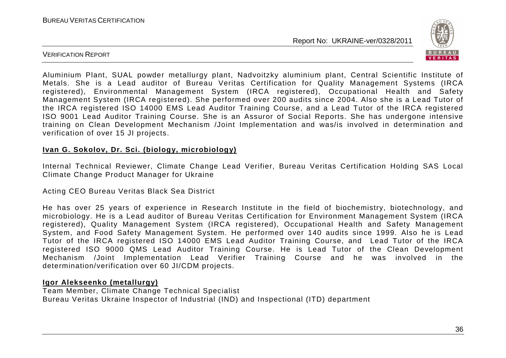

VERIFICATION REPORT

Aluminium Plant, SUAL powder metallurgy plant, Nadvoitzky aluminium plant, Central Scientific Institute of Metals. She is a Lead auditor of Bureau Veritas Certification for Quality Management Systems (IRCA registered), Environmental Management System (IRCA registered), Occupational Health and Safety Management System (IRCA registered). She performed over 200 audits since 2004. Also she is a Lead Tutor of the IRCA registered ISO 14000 EMS Lead Auditor Training Course, and a Lead Tutor of the IRCA registered ISO 9001 Lead Auditor Training Course. She is an Assuror of Social Reports. She has undergone intensive training on Clean Development Mechanism /Joint Implementation and was/is involved in determination andverification of over 15 JI projects.

#### **Ivan G. Sokolov, Dr. Sci. (biology, microbiology)**

Internal Technical Reviewer, Climate Change Lead Verifier, Bureau Veritas Certification Holding SAS Local Climate Change Product Manager for Ukraine

Acting CEO Bureau Veritas Black Sea District

He has over 25 years of experience in Research Institute in the field of biochemistry, biotechnology, and microbiology. He is a Lead auditor of Bureau Veritas Certification for Environment Management System (IRCA registered), Quality Management System (IRCA registered), Occupational Health and Safety Management System, and Food Safety Management System. He performed over 140 audits since 1999. Also he is Lead Tutor of the IRCA registered ISO 14000 EMS Lead Auditor Training Course, and Lead Tutor of the IRCA registered ISO 9000 QMS Lead Auditor Training Course. He is Lead Tutor of the Clean Development Mechanism /Joint Implementation Lead Verifier Training Course and he was involved in the determination/verification over 60 JI/CDM projects.

#### **Igor Alekseenko (metallurgy)**

 Team Member, Climate Change Technical Specialist Bureau Veritas Ukraine Inspector of Industrial (IND) and Inspectional (ITD) department